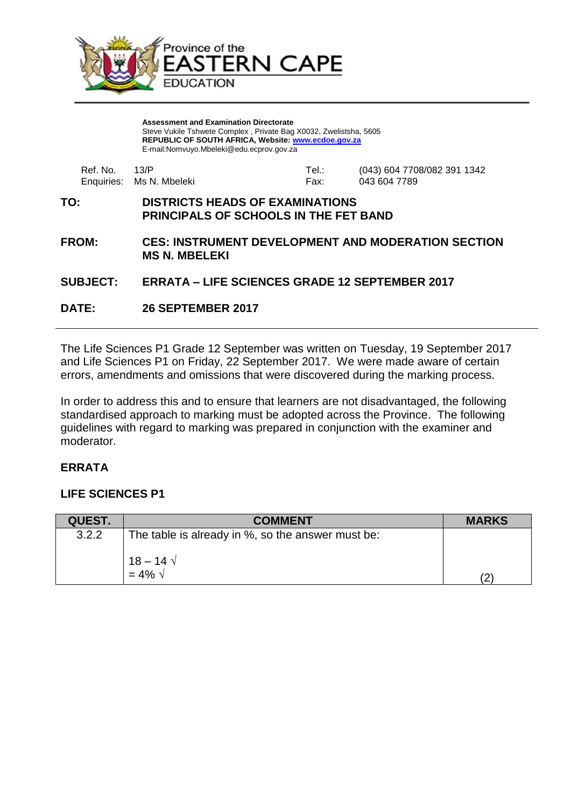

**Assessment and Examination Directorate** Steve Vukile Tshwete Complex , Private Bag X0032, Zwelistsha, 5605 **REPUBLIC OF SOUTH AFRICA, Website: [www.ecdoe.gov.za](http://www.ecdoe.gov.za/)** E-mail:Nomvuyo.Mbeleki@edu.ecprov.gov.za

| Ref. No. 43/P |                          | Tel.: | (043) 604 7708/082 391 1342 |
|---------------|--------------------------|-------|-----------------------------|
|               | Enquiries: Ms N. Mbeleki | Fax:  | 043 604 7789                |

#### **TO: DISTRICTS HEADS OF EXAMINATIONS PRINCIPALS OF SCHOOLS IN THE FET BAND**

**FROM: CES: INSTRUMENT DEVELOPMENT AND MODERATION SECTION MS N. MBELEKI**

#### **SUBJECT: ERRATA – LIFE SCIENCES GRADE 12 SEPTEMBER 2017**

**DATE: 26 SEPTEMBER 2017**

The Life Sciences P1 Grade 12 September was written on Tuesday, 19 September 2017 and Life Sciences P1 on Friday, 22 September 2017. We were made aware of certain errors, amendments and omissions that were discovered during the marking process.

In order to address this and to ensure that learners are not disadvantaged, the following standardised approach to marking must be adopted across the Province. The following guidelines with regard to marking was prepared in conjunction with the examiner and moderator.

# **ERRATA**

# **LIFE SCIENCES P1**

| <b>QUEST.</b> | <b>COMMENT</b>                                    | <b>MARKS</b> |
|---------------|---------------------------------------------------|--------------|
| 3.2.2         | The table is already in %, so the answer must be: |              |
|               | $18 - 14 \sqrt{ }$<br>$= 4\% \sqrt{ }$            |              |